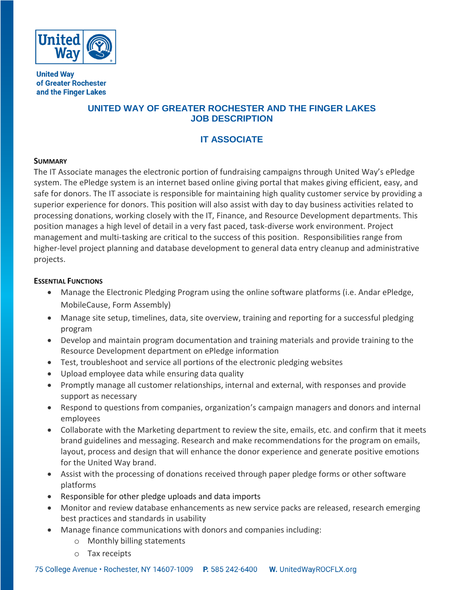

**United Way** of Greater Rochester and the Finger Lakes

## **UNITED WAY OF GREATER ROCHESTER AND THE FINGER LAKES JOB DESCRIPTION**

## **IT ASSOCIATE**

## **SUMMARY**

The IT Associate manages the electronic portion of fundraising campaigns through United Way's ePledge system. The ePledge system is an internet based online giving portal that makes giving efficient, easy, and safe for donors. The IT associate is responsible for maintaining high quality customer service by providing a superior experience for donors. This position will also assist with day to day business activities related to processing donations, working closely with the IT, Finance, and Resource Development departments. This position manages a high level of detail in a very fast paced, task-diverse work environment. Project management and multi-tasking are critical to the success of this position. Responsibilities range from higher-level project planning and database development to general data entry cleanup and administrative projects.

## **ESSENTIAL FUNCTIONS**

- Manage the Electronic Pledging Program using the online software platforms (i.e. Andar ePledge, MobileCause, Form Assembly)
- Manage site setup, timelines, data, site overview, training and reporting for a successful pledging program
- Develop and maintain program documentation and training materials and provide training to the Resource Development department on ePledge information
- Test, troubleshoot and service all portions of the electronic pledging websites
- Upload employee data while ensuring data quality
- Promptly manage all customer relationships, internal and external, with responses and provide support as necessary
- Respond to questions from companies, organization's campaign managers and donors and internal employees
- Collaborate with the Marketing department to review the site, emails, etc. and confirm that it meets brand guidelines and messaging. Research and make recommendations for the program on emails, layout, process and design that will enhance the donor experience and generate positive emotions for the United Way brand.
- Assist with the processing of donations received through paper pledge forms or other software platforms
- Responsible for other pledge uploads and data imports
- Monitor and review database enhancements as new service packs are released, research emerging best practices and standards in usability
- Manage finance communications with donors and companies including:
	- o Monthly billing statements
	- o Tax receipts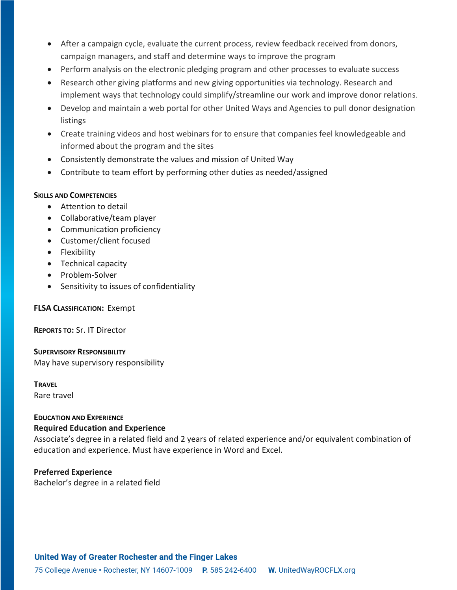- After a campaign cycle, evaluate the current process, review feedback received from donors, campaign managers, and staff and determine ways to improve the program
- Perform analysis on the electronic pledging program and other processes to evaluate success
- Research other giving platforms and new giving opportunities via technology. Research and implement ways that technology could simplify/streamline our work and improve donor relations.
- Develop and maintain a web portal for other United Ways and Agencies to pull donor designation listings
- Create training videos and host webinars for to ensure that companies feel knowledgeable and informed about the program and the sites
- Consistently demonstrate the values and mission of United Way
- Contribute to team effort by performing other duties as needed/assigned

#### **SKILLS AND COMPETENCIES**

- Attention to detail
- Collaborative/team player
- Communication proficiency
- Customer/client focused
- Flexibility
- Technical capacity
- Problem-Solver
- Sensitivity to issues of confidentiality

## **FLSA CLASSIFICATION:** Exempt

**REPORTS TO:** Sr. IT Director

**SUPERVISORY RESPONSIBILITY** May have supervisory responsibility

#### **TRAVEL**

Rare travel

# **EDUCATION AND EXPERIENCE**

## **Required Education and Experience**

Associate's degree in a related field and 2 years of related experience and/or equivalent combination of education and experience. Must have experience in Word and Excel.

## **Preferred Experience**

Bachelor's degree in a related field

## **United Way of Greater Rochester and the Finger Lakes**